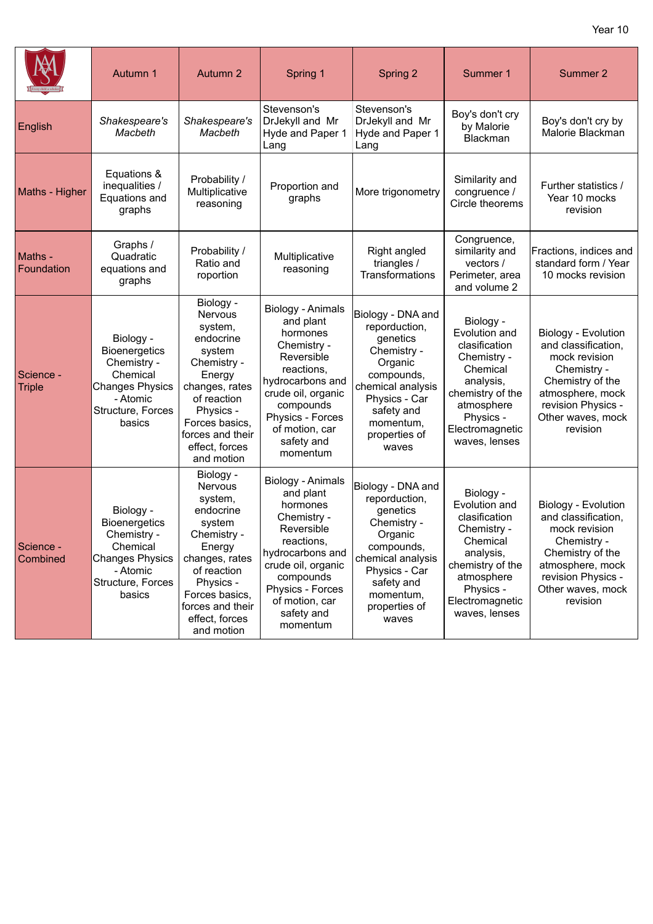|                            | Autumn 1                                                                                                                          | Autumn 2                                                                                                                                                                                            | Spring 1                                                                                                                                                                                                     | Spring 2                                                                                                                                                                          | Summer 1                                                                                                                                                               | Summer 2                                                                                                                                                                  |
|----------------------------|-----------------------------------------------------------------------------------------------------------------------------------|-----------------------------------------------------------------------------------------------------------------------------------------------------------------------------------------------------|--------------------------------------------------------------------------------------------------------------------------------------------------------------------------------------------------------------|-----------------------------------------------------------------------------------------------------------------------------------------------------------------------------------|------------------------------------------------------------------------------------------------------------------------------------------------------------------------|---------------------------------------------------------------------------------------------------------------------------------------------------------------------------|
| English                    | Shakespeare's<br>Macbeth                                                                                                          | Shakespeare's<br>Macbeth                                                                                                                                                                            | Stevenson's<br>DrJekyll and Mr<br>Hyde and Paper 1<br>Lang                                                                                                                                                   | Stevenson's<br>DrJekyll and Mr<br>Hyde and Paper 1<br>Lang                                                                                                                        | Boy's don't cry<br>by Malorie<br>Blackman                                                                                                                              | Boy's don't cry by<br>Malorie Blackman                                                                                                                                    |
| Maths - Higher             | Equations &<br>inequalities /<br>Equations and<br>graphs                                                                          | Probability /<br>Multiplicative<br>reasoning                                                                                                                                                        | Proportion and<br>graphs                                                                                                                                                                                     | More trigonometry                                                                                                                                                                 | Similarity and<br>congruence /<br>Circle theorems                                                                                                                      | Further statistics /<br>Year 10 mocks<br>revision                                                                                                                         |
| Maths -<br>Foundation      | Graphs /<br>Quadratic<br>equations and<br>graphs                                                                                  | Probability /<br>Ratio and<br>roportion                                                                                                                                                             | Multiplicative<br>reasoning                                                                                                                                                                                  | Right angled<br>triangles /<br>Transformations                                                                                                                                    | Congruence,<br>similarity and<br>vectors /<br>Perimeter, area<br>and volume 2                                                                                          | Fractions, indices and<br>standard form / Year<br>10 mocks revision                                                                                                       |
| Science -<br><b>Triple</b> | Biology -<br><b>Bioenergetics</b><br>Chemistry -<br>Chemical<br><b>Changes Physics</b><br>- Atomic<br>Structure, Forces<br>basics | Biology -<br>Nervous<br>system,<br>endocrine<br>system<br>Chemistry -<br>Energy<br>changes, rates<br>of reaction<br>Physics -<br>Forces basics,<br>forces and their<br>effect, forces<br>and motion | Biology - Animals<br>and plant<br>hormones<br>Chemistry -<br>Reversible<br>reactions,<br>hydrocarbons and<br>crude oil, organic<br>compounds<br>Physics - Forces<br>of motion, car<br>safety and<br>momentum | Biology - DNA and<br>reporduction,<br>genetics<br>Chemistry -<br>Organic<br>compounds,<br>chemical analysis<br>Physics - Car<br>safety and<br>momentum,<br>properties of<br>waves | Biology -<br>Evolution and<br>clasification<br>Chemistry -<br>Chemical<br>analysis,<br>chemistry of the<br>atmosphere<br>Physics -<br>Electromagnetic<br>waves, lenses | Biology - Evolution<br>and classification.<br>mock revision<br>Chemistry -<br>Chemistry of the<br>atmosphere, mock<br>revision Physics -<br>Other waves, mock<br>revision |
| Science -<br>Combined      | Biology -<br><b>Bioenergetics</b><br>Chemistry -<br>Chemical<br>Changes Physics<br>- Atomic<br>Structure, Forces<br>basics        | Biology -<br>Nervous<br>system,<br>endocrine<br>system<br>Chemistry -<br>Energy<br>changes, rates<br>of reaction<br>Physics -<br>Forces basics,<br>forces and their<br>effect, forces<br>and motion | Biology - Animals<br>and plant<br>hormones<br>Chemistry -<br>Reversible<br>reactions,<br>hydrocarbons and<br>crude oil, organic<br>compounds<br>Physics - Forces<br>of motion, car<br>safety and<br>momentum | Biology - DNA and<br>reporduction,<br>genetics<br>Chemistry -<br>Organic<br>compounds,<br>chemical analysis<br>Physics - Car<br>safety and<br>momentum,<br>properties of<br>waves | Biology -<br>Evolution and<br>clasification<br>Chemistry -<br>Chemical<br>analysis,<br>chemistry of the<br>atmosphere<br>Physics -<br>Electromagnetic<br>waves, lenses | Biology - Evolution<br>and classification,<br>mock revision<br>Chemistry -<br>Chemistry of the<br>atmosphere, mock<br>revision Physics -<br>Other waves, mock<br>revision |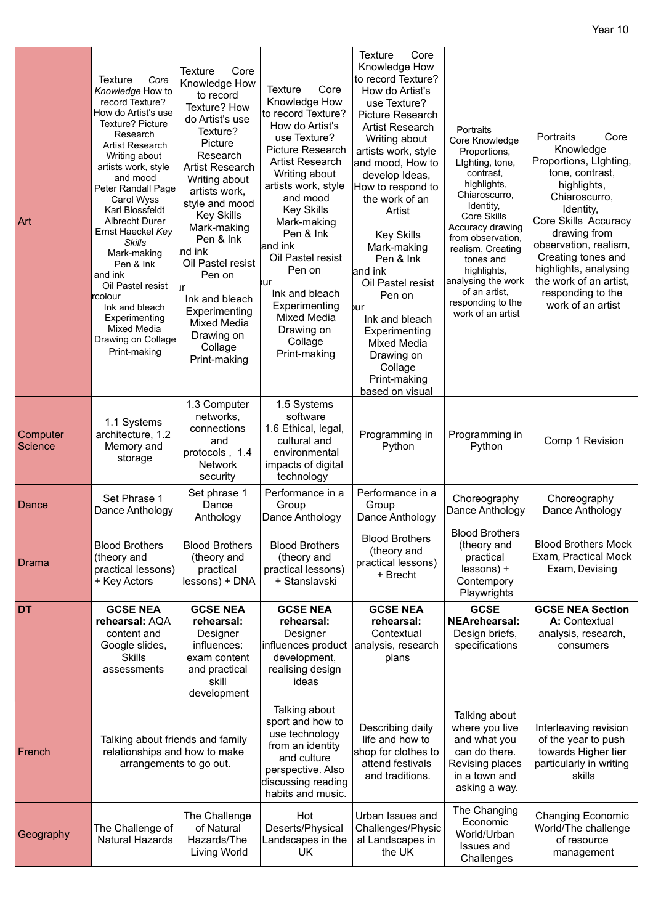| Art                 | <b>Texture</b><br>Core<br>Knowledge How to<br>record Texture?<br>How do Artist's use<br>Texture? Picture<br>Research<br><b>Artist Research</b><br>Writing about<br>artists work, style<br>and mood<br>Peter Randall Page<br>Carol Wyss<br>Karl Blossfeldt<br>Albrecht Durer<br>Ernst Haeckel Key<br><b>Skills</b><br>Mark-making<br>Pen & Ink<br>and ink<br>Oil Pastel resist<br>rcolour<br>Ink and bleach<br>Experimenting<br>Mixed Media<br>Drawing on Collage<br>Print-making | <b>Texture</b><br>Core<br>Knowledge How<br>to record<br>Texture? How<br>do Artist's use<br>Texture?<br>Picture<br>Research<br>Artist Research<br>Writing about<br>artists work,<br>style and mood<br><b>Key Skills</b><br>Mark-making<br>Pen & Ink<br>nd ink<br>Oil Pastel resist<br>Pen on<br>lır<br>Ink and bleach<br>Experimenting<br>Mixed Media<br>Drawing on<br>Collage<br>Print-making | <b>Texture</b><br>Core<br>Knowledge How<br>to record Texture?<br>How do Artist's<br>use Texture?<br>Picture Research<br><b>Artist Research</b><br>Writing about<br>artists work, style<br>and mood<br><b>Key Skills</b><br>Mark-making<br>Pen & Ink<br>and ink<br>Oil Pastel resist<br>Pen on<br>bur<br>Ink and bleach<br>Experimenting<br>Mixed Media<br>Drawing on<br>Collage<br>Print-making | Core<br>Texture<br>Knowledge How<br>to record Texture?<br>How do Artist's<br>use Texture?<br>Picture Research<br>Artist Research<br>Writing about<br>artists work, style<br>and mood, How to<br>develop Ideas,<br>How to respond to<br>the work of an<br>Artist<br><b>Key Skills</b><br>Mark-making<br>Pen & Ink<br>and ink<br>Oil Pastel resist<br>Pen on<br>bur<br>Ink and bleach<br>Experimenting<br><b>Mixed Media</b><br>Drawing on<br>Collage<br>Print-making | Portraits<br>Core Knowledge<br>Proportions,<br>Lighting, tone,<br>contrast,<br>highlights,<br>Chiaroscurro,<br>Identity,<br><b>Core Skills</b><br>Accuracy drawing<br>from observation.<br>realism, Creating<br>tones and<br>highlights,<br>analysing the work<br>of an artist,<br>responding to the<br>work of an artist | Portraits<br>Core<br>Knowledge<br>Proportions, Lighting,<br>tone, contrast,<br>highlights,<br>Chiaroscurro,<br>Identity,<br>Core Skills Accuracy<br>drawing from<br>observation, realism,<br>Creating tones and<br>highlights, analysing<br>the work of an artist.<br>responding to the<br>work of an artist |
|---------------------|----------------------------------------------------------------------------------------------------------------------------------------------------------------------------------------------------------------------------------------------------------------------------------------------------------------------------------------------------------------------------------------------------------------------------------------------------------------------------------|-----------------------------------------------------------------------------------------------------------------------------------------------------------------------------------------------------------------------------------------------------------------------------------------------------------------------------------------------------------------------------------------------|-------------------------------------------------------------------------------------------------------------------------------------------------------------------------------------------------------------------------------------------------------------------------------------------------------------------------------------------------------------------------------------------------|---------------------------------------------------------------------------------------------------------------------------------------------------------------------------------------------------------------------------------------------------------------------------------------------------------------------------------------------------------------------------------------------------------------------------------------------------------------------|---------------------------------------------------------------------------------------------------------------------------------------------------------------------------------------------------------------------------------------------------------------------------------------------------------------------------|--------------------------------------------------------------------------------------------------------------------------------------------------------------------------------------------------------------------------------------------------------------------------------------------------------------|
| Computer<br>Science | 1.1 Systems<br>architecture, 1.2<br>Memory and<br>storage                                                                                                                                                                                                                                                                                                                                                                                                                        | 1.3 Computer<br>networks,<br>connections<br>and<br>protocols, 1.4<br>Network<br>security                                                                                                                                                                                                                                                                                                      | 1.5 Systems<br>software<br>1.6 Ethical, legal,<br>cultural and<br>environmental<br>impacts of digital<br>technology                                                                                                                                                                                                                                                                             | based on visual<br>Programming in<br>Python                                                                                                                                                                                                                                                                                                                                                                                                                         | Programming in<br>Python                                                                                                                                                                                                                                                                                                  | Comp 1 Revision                                                                                                                                                                                                                                                                                              |
| Dance               | Set Phrase 1<br>Dance Anthology                                                                                                                                                                                                                                                                                                                                                                                                                                                  | Set phrase 1<br>Dance<br>Anthology                                                                                                                                                                                                                                                                                                                                                            | Performance in a<br>Group<br>Dance Anthology                                                                                                                                                                                                                                                                                                                                                    | Performance in a<br>Group<br>Dance Anthology                                                                                                                                                                                                                                                                                                                                                                                                                        | Choreography<br>Dance Anthology                                                                                                                                                                                                                                                                                           | Choreography<br>Dance Anthology                                                                                                                                                                                                                                                                              |
| Drama               | <b>Blood Brothers</b><br>(theory and<br>practical lessons)<br>+ Key Actors                                                                                                                                                                                                                                                                                                                                                                                                       | <b>Blood Brothers</b><br>(theory and<br>practical<br>lessons) + DNA                                                                                                                                                                                                                                                                                                                           | <b>Blood Brothers</b><br>(theory and<br>practical lessons)<br>+ Stanslavski                                                                                                                                                                                                                                                                                                                     | <b>Blood Brothers</b><br>(theory and<br>practical lessons)<br>+ Brecht                                                                                                                                                                                                                                                                                                                                                                                              | <b>Blood Brothers</b><br>(theory and<br>practical<br>lessons) +<br>Contempory<br>Playwrights                                                                                                                                                                                                                              | <b>Blood Brothers Mock</b><br>Exam, Practical Mock<br>Exam, Devising                                                                                                                                                                                                                                         |
| <b>DT</b>           | <b>GCSE NEA</b><br>rehearsal: AQA<br>content and<br>Google slides,<br><b>Skills</b><br>assessments                                                                                                                                                                                                                                                                                                                                                                               | <b>GCSE NEA</b><br>rehearsal:<br>Designer<br>influences:<br>exam content<br>and practical<br>skill<br>development                                                                                                                                                                                                                                                                             | <b>GCSE NEA</b><br>rehearsal:<br>Designer<br>influences product<br>development,<br>realising design<br>ideas                                                                                                                                                                                                                                                                                    | <b>GCSE NEA</b><br>rehearsal:<br>Contextual<br>analysis, research<br>plans                                                                                                                                                                                                                                                                                                                                                                                          | <b>GCSE</b><br><b>NEArehearsal:</b><br>Design briefs,<br>specifications                                                                                                                                                                                                                                                   | <b>GCSE NEA Section</b><br>A: Contextual<br>analysis, research,<br>consumers                                                                                                                                                                                                                                 |
| French              | Talking about friends and family<br>relationships and how to make<br>arrangements to go out.                                                                                                                                                                                                                                                                                                                                                                                     |                                                                                                                                                                                                                                                                                                                                                                                               | Talking about<br>sport and how to<br>use technology<br>from an identity<br>and culture<br>perspective. Also<br>discussing reading<br>habits and music.                                                                                                                                                                                                                                          | Describing daily<br>life and how to<br>shop for clothes to<br>attend festivals<br>and traditions.                                                                                                                                                                                                                                                                                                                                                                   | Talking about<br>where you live<br>and what you<br>can do there.<br>Revising places<br>in a town and<br>asking a way.                                                                                                                                                                                                     | Interleaving revision<br>of the year to push<br>towards Higher tier<br>particularly in writing<br>skills                                                                                                                                                                                                     |
| Geography           | The Challenge of<br>Natural Hazards                                                                                                                                                                                                                                                                                                                                                                                                                                              | The Challenge<br>of Natural<br>Hazards/The<br>Living World                                                                                                                                                                                                                                                                                                                                    | Hot<br>Deserts/Physical<br>Landscapes in the<br>UK                                                                                                                                                                                                                                                                                                                                              | Urban Issues and<br>Challenges/Physic<br>al Landscapes in<br>the UK                                                                                                                                                                                                                                                                                                                                                                                                 | The Changing<br>Economic<br>World/Urban<br>Issues and<br>Challenges                                                                                                                                                                                                                                                       | Changing Economic<br>World/The challenge<br>of resource<br>management                                                                                                                                                                                                                                        |

Year 10